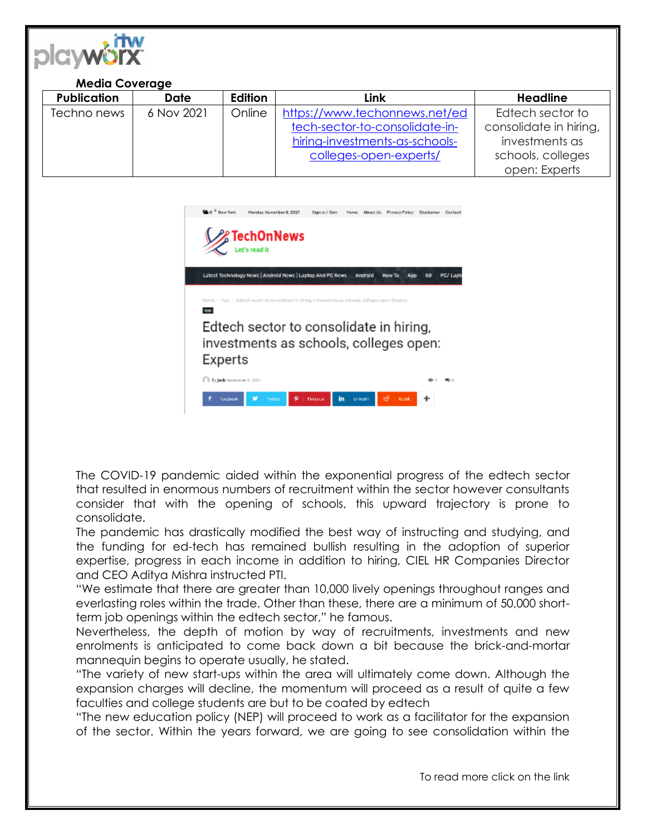

## **Media Coverage**

| <b>Publication</b> | <b>Date</b> | Edition | Link                           | <b>Headline</b>        |
|--------------------|-------------|---------|--------------------------------|------------------------|
| Techno news        | 6 Nov 2021  | Online  | https://www.techonnews.net/ed  | Edtech sector to       |
|                    |             |         | tech-sector-to-consolidate-in- | consolidate in hiring, |
|                    |             |         | hiring-investments-as-schools- | investments as         |
|                    |             |         | colleges-open-experts/         | schools, colleges      |
|                    |             |         |                                | open: Experts          |



The COVID-19 pandemic aided within the exponential progress of the edtech sector that resulted in enormous numbers of recruitment within the sector however consultants consider that with the opening of schools, this upward trajectory is prone to consolidate.

The pandemic has drastically modified the best way of instructing and studying, and the funding for ed-tech has remained bullish resulting in the adoption of superior expertise, progress in each income in addition to hiring, CIEL HR Companies Director and CEO Aditya Mishra instructed PTI.

"We estimate that there are greater than 10,000 lively openings throughout ranges and everlasting roles within the trade. Other than these, there are a minimum of 50,000 shortterm job openings within the edtech sector," he famous.

Nevertheless, the depth of motion by way of recruitments, investments and new enrolments is anticipated to come back down a bit because the brick-and-mortar mannequin begins to operate usually, he stated.

"The variety of new start-ups within the area will ultimately come down. Although the expansion charges will decline, the momentum will proceed as a result of quite a few faculties and college students are but to be coated by edtech

"The new education policy (NEP) will proceed to work as a facilitator for the expansion of the sector. Within the years forward, we are going to see consolidation within the

To read more click on the link